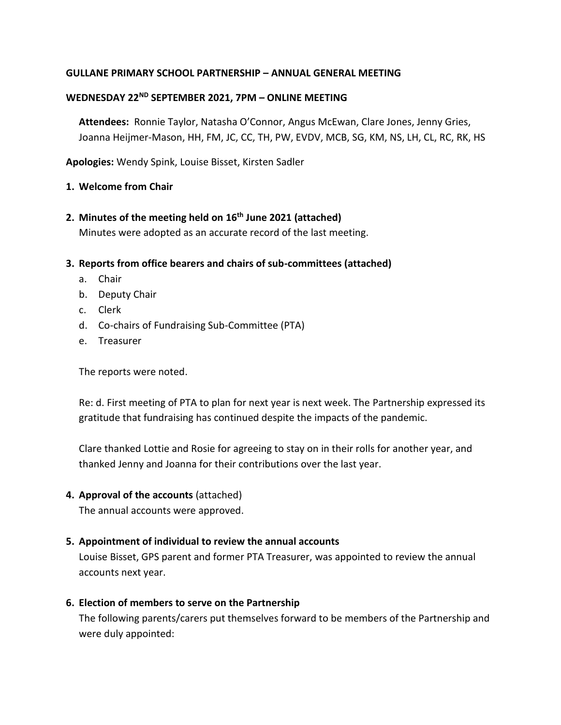### **GULLANE PRIMARY SCHOOL PARTNERSHIP – ANNUAL GENERAL MEETING**

### **WEDNESDAY 22 ND SEPTEMBER 2021, 7PM – ONLINE MEETING**

**Attendees:** Ronnie Taylor, Natasha O'Connor, Angus McEwan, Clare Jones, Jenny Gries, Joanna Heijmer-Mason, HH, FM, JC, CC, TH, PW, EVDV, MCB, SG, KM, NS, LH, CL, RC, RK, HS

**Apologies:** Wendy Spink, Louise Bisset, Kirsten Sadler

### **1. Welcome from Chair**

- **2. Minutes of the meeting held on 16th June 2021 (attached)** Minutes were adopted as an accurate record of the last meeting.
- **3. Reports from office bearers and chairs of sub-committees (attached)**
	- a. Chair
	- b. Deputy Chair
	- c. Clerk
	- d. Co-chairs of Fundraising Sub-Committee (PTA)
	- e. Treasurer

The reports were noted.

Re: d. First meeting of PTA to plan for next year is next week. The Partnership expressed its gratitude that fundraising has continued despite the impacts of the pandemic.

Clare thanked Lottie and Rosie for agreeing to stay on in their rolls for another year, and thanked Jenny and Joanna for their contributions over the last year.

#### **4. Approval of the accounts** (attached)

The annual accounts were approved.

#### **5. Appointment of individual to review the annual accounts**

Louise Bisset, GPS parent and former PTA Treasurer, was appointed to review the annual accounts next year.

#### **6. Election of members to serve on the Partnership**

The following parents/carers put themselves forward to be members of the Partnership and were duly appointed: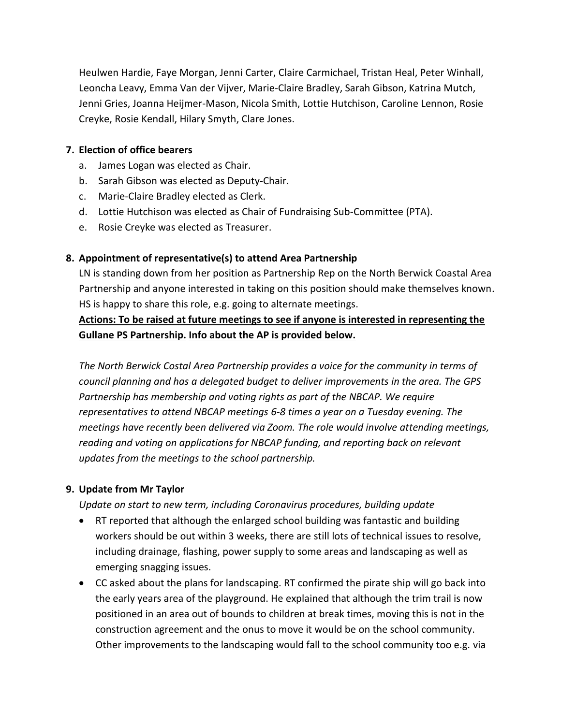Heulwen Hardie, Faye Morgan, Jenni Carter, Claire Carmichael, Tristan Heal, Peter Winhall, Leoncha Leavy, Emma Van der Vijver, Marie-Claire Bradley, Sarah Gibson, Katrina Mutch, Jenni Gries, Joanna Heijmer-Mason, Nicola Smith, Lottie Hutchison, Caroline Lennon, Rosie Creyke, Rosie Kendall, Hilary Smyth, Clare Jones.

### **7. Election of office bearers**

- a. James Logan was elected as Chair.
- b. Sarah Gibson was elected as Deputy-Chair.
- c. Marie-Claire Bradley elected as Clerk.
- d. Lottie Hutchison was elected as Chair of Fundraising Sub-Committee (PTA).
- e. Rosie Creyke was elected as Treasurer.

### **8. Appointment of representative(s) to attend Area Partnership**

LN is standing down from her position as Partnership Rep on the North Berwick Coastal Area Partnership and anyone interested in taking on this position should make themselves known. HS is happy to share this role, e.g. going to alternate meetings.

### **Actions: To be raised at future meetings to see if anyone is interested in representing the Gullane PS Partnership. Info about the AP is provided below.**

*The North Berwick Costal Area Partnership provides a voice for the community in terms of council planning and has a delegated budget to deliver improvements in the area. The GPS Partnership has membership and voting rights as part of the NBCAP. We require representatives to attend NBCAP meetings 6-8 times a year on a Tuesday evening. The meetings have recently been delivered via Zoom. The role would involve attending meetings, reading and voting on applications for NBCAP funding, and reporting back on relevant updates from the meetings to the school partnership.*

#### **9. Update from Mr Taylor**

*Update on start to new term, including Coronavirus procedures, building update*

- RT reported that although the enlarged school building was fantastic and building workers should be out within 3 weeks, there are still lots of technical issues to resolve, including drainage, flashing, power supply to some areas and landscaping as well as emerging snagging issues.
- CC asked about the plans for landscaping. RT confirmed the pirate ship will go back into the early years area of the playground. He explained that although the trim trail is now positioned in an area out of bounds to children at break times, moving this is not in the construction agreement and the onus to move it would be on the school community. Other improvements to the landscaping would fall to the school community too e.g. via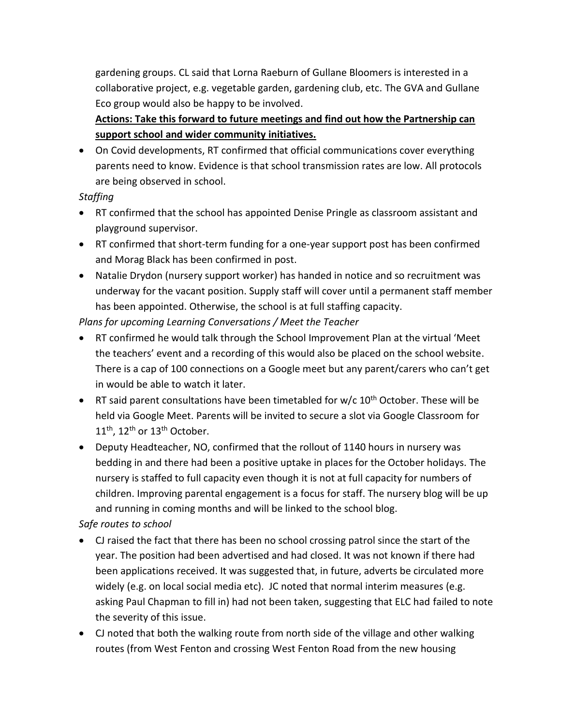gardening groups. CL said that Lorna Raeburn of Gullane Bloomers is interested in a collaborative project, e.g. vegetable garden, gardening club, etc. The GVA and Gullane Eco group would also be happy to be involved.

# **Actions: Take this forward to future meetings and find out how the Partnership can support school and wider community initiatives.**

 On Covid developments, RT confirmed that official communications cover everything parents need to know. Evidence is that school transmission rates are low. All protocols are being observed in school.

# *Staffing*

- RT confirmed that the school has appointed Denise Pringle as classroom assistant and playground supervisor.
- RT confirmed that short-term funding for a one-year support post has been confirmed and Morag Black has been confirmed in post.
- Natalie Drydon (nursery support worker) has handed in notice and so recruitment was underway for the vacant position. Supply staff will cover until a permanent staff member has been appointed. Otherwise, the school is at full staffing capacity.

# *Plans for upcoming Learning Conversations / Meet the Teacher*

- RT confirmed he would talk through the School Improvement Plan at the virtual 'Meet the teachers' event and a recording of this would also be placed on the school website. There is a cap of 100 connections on a Google meet but any parent/carers who can't get in would be able to watch it later.
- **•** RT said parent consultations have been timetabled for  $w/c$  10<sup>th</sup> October. These will be held via Google Meet. Parents will be invited to secure a slot via Google Classroom for 11<sup>th</sup>, 12<sup>th</sup> or 13<sup>th</sup> October.
- Deputy Headteacher, NO, confirmed that the rollout of 1140 hours in nursery was bedding in and there had been a positive uptake in places for the October holidays. The nursery is staffed to full capacity even though it is not at full capacity for numbers of children. Improving parental engagement is a focus for staff. The nursery blog will be up and running in coming months and will be linked to the school blog.

# *Safe routes to school*

- CJ raised the fact that there has been no school crossing patrol since the start of the year. The position had been advertised and had closed. It was not known if there had been applications received. It was suggested that, in future, adverts be circulated more widely (e.g. on local social media etc). JC noted that normal interim measures (e.g. asking Paul Chapman to fill in) had not been taken, suggesting that ELC had failed to note the severity of this issue.
- CJ noted that both the walking route from north side of the village and other walking routes (from West Fenton and crossing West Fenton Road from the new housing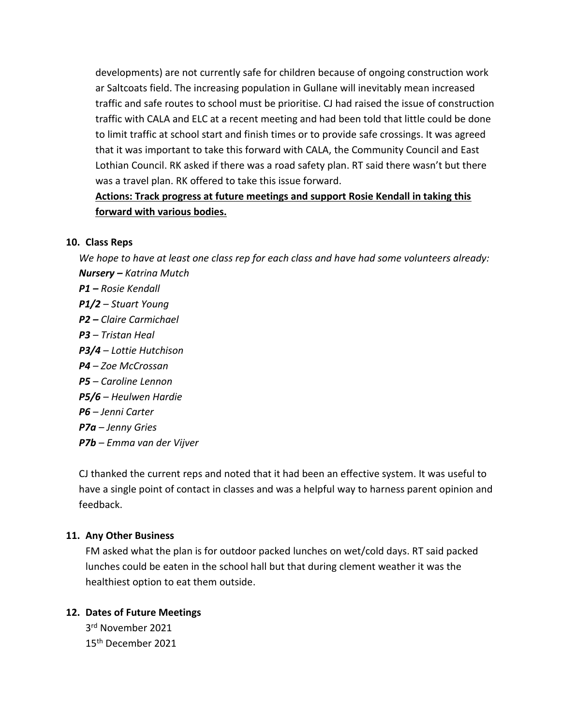developments) are not currently safe for children because of ongoing construction work ar Saltcoats field. The increasing population in Gullane will inevitably mean increased traffic and safe routes to school must be prioritise. CJ had raised the issue of construction traffic with CALA and ELC at a recent meeting and had been told that little could be done to limit traffic at school start and finish times or to provide safe crossings. It was agreed that it was important to take this forward with CALA, the Community Council and East Lothian Council. RK asked if there was a road safety plan. RT said there wasn't but there was a travel plan. RK offered to take this issue forward.

# **Actions: Track progress at future meetings and support Rosie Kendall in taking this forward with various bodies.**

### **10. Class Reps**

*We hope to have at least one class rep for each class and have had some volunteers already: Nursery – Katrina Mutch P1 – Rosie Kendall P1/2 – Stuart Young P2 – Claire Carmichael*

- *P3 – Tristan Heal*
- *P3/4 – Lottie Hutchison*
- *P4 – Zoe McCrossan*
- *P5 – Caroline Lennon*
- *P5/6 – Heulwen Hardie*
- *P6 – Jenni Carter*
- *P7a – Jenny Gries*
- *P7b – Emma van der Vijver*

CJ thanked the current reps and noted that it had been an effective system. It was useful to have a single point of contact in classes and was a helpful way to harness parent opinion and feedback.

# **11. Any Other Business**

FM asked what the plan is for outdoor packed lunches on wet/cold days. RT said packed lunches could be eaten in the school hall but that during clement weather it was the healthiest option to eat them outside.

# **12. Dates of Future Meetings**

3 rd November 2021 15th December 2021